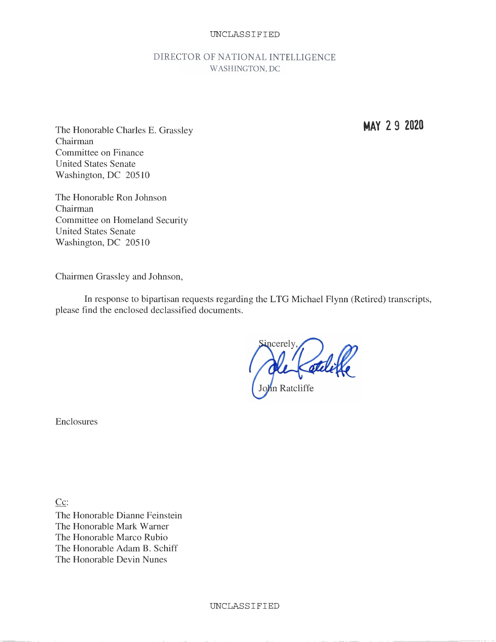## UNCLASSIFIED

## DIRECTOR OF NATIONAL INTELLIGENCE WASHINGTON, DC

The Honorable Charles E. Grassley Chairman Committee on Finance United States Senate Washington, DC 20510

The Honorable Ron Johnson Chairman Committee on Homeland Security United States Senate Washington, DC 20510

Chairmen Grassley and Johnson,

In response to bipartisan requests regarding the LTG Michael Flynn (Retired) transcripts, please find the enclosed declassified documents.

ncerely John Ratcliffe

Enclosures

Cc: The Honorable Dianne Feinstein The Honorable Mark Warner The Honorable Marco Rubio The Honorable Adam B. Schiff The Honorable Devin Nunes

**MAY 2 9 2020**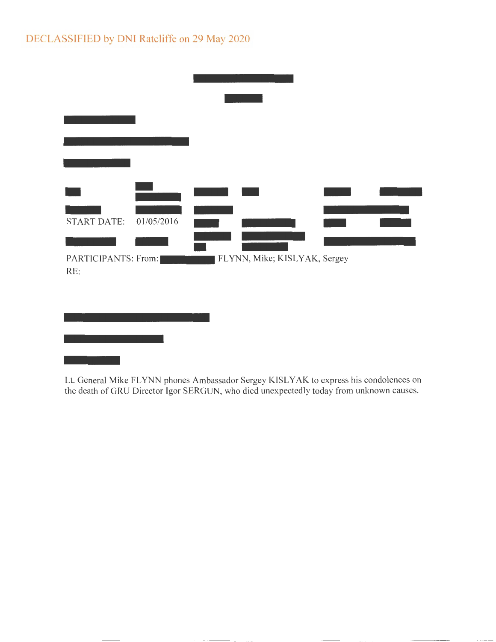# DECLASSIFIED by DNI Ratcliffe on 29 May 2020

| <b>START DATE:</b>         | 01/05/2016 |                              |  |  |
|----------------------------|------------|------------------------------|--|--|
|                            |            |                              |  |  |
| PARTICIPANTS: From:<br>RE: |            | FLYNN, Mike; KISLYAK, Sergey |  |  |
|                            |            |                              |  |  |
|                            |            |                              |  |  |
|                            |            |                              |  |  |
|                            |            |                              |  |  |
|                            |            |                              |  |  |

Lt. General Mike FLYNN phones Ambassador Sergey KISL YAK to express his condolences on the death of GRU Director Igor SERGUN, who died unexpectedly today from unknown causes.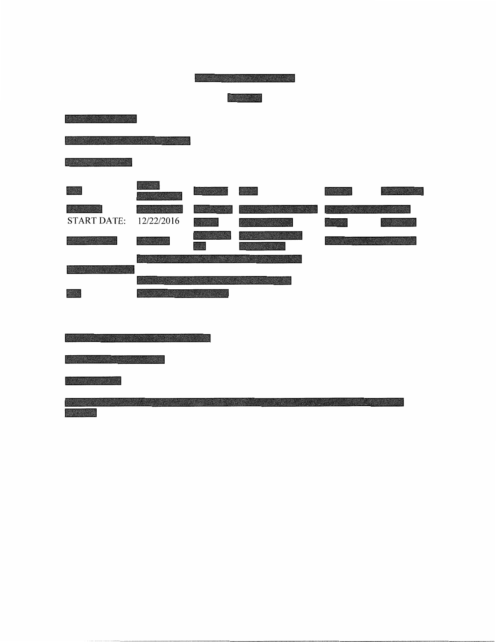| San Family Address of the American | <b>STORY OF STRATE</b> |                    |                  |               |
|------------------------------------|------------------------|--------------------|------------------|---------------|
| <b>RESIDENT AND RESIDENT</b>       |                        |                    |                  |               |
|                                    |                        |                    |                  | <b>Albert</b> |
| W.<br><b>START DATE:</b>           | 12/22/2016             | m                  | 1999 - 1999 - 19 |               |
|                                    |                        |                    |                  |               |
|                                    | <b>CARD TO A</b>       |                    | WANDERS OF B     |               |
| 聚酰胺                                |                        | <b>BARRA MODEL</b> |                  |               |
|                                    |                        |                    |                  |               |

de completa e a provincia de propositivamente de provincia e a provincia e a provincia e a provincia e a provi<br>Provincia<br>Mangareta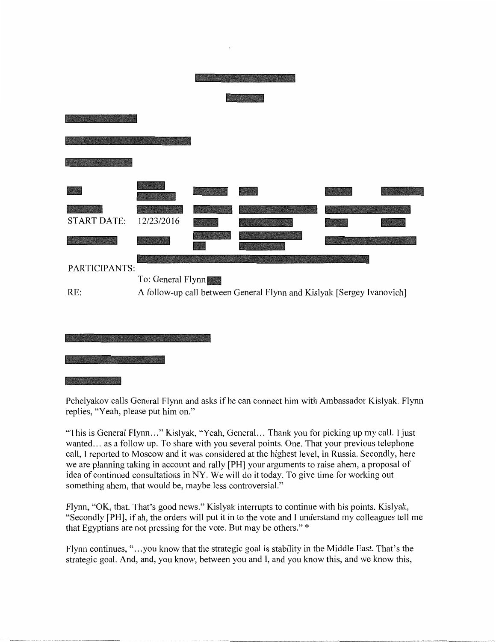| <b>START DATE:</b> | 12/23/2016        |                                                                       |  |
|--------------------|-------------------|-----------------------------------------------------------------------|--|
|                    |                   |                                                                       |  |
|                    |                   |                                                                       |  |
| PARTICIPANTS:      | To: General Flynn |                                                                       |  |
| RE:                |                   | A follow-up call between General Flynn and Kislyak [Sergey Ivanovich] |  |
|                    |                   |                                                                       |  |
|                    |                   |                                                                       |  |



Pchelyakov calls General Flynn and asks ifhe can connect him with Ambassador Kislyak. Flynn replies, "Yeah, please put him on."

"This is General Flynn..." Kislyak, "Yeah, General... Thank you for picking up my call. I just wanted... as a follow up. To share with you several points. One. That your previous telephone call, I reported to Moscow and it was considered at the highest level, in Russia. Secondly, here we are planning taking in account and rally [PH] your arguments to raise ahem, a proposal of idea of continued consultations in NY. We will do it today. To give time for working out something ahem, that would be, maybe less controversial."

Flynn, **"OK,** that. That's good news." Kislyak interrupts to continue with his points. Kislyak, "Secondly **[PH],** if ah, the orders will put it in to the vote and I understand my colleagues tell me that Egyptians are not pressing for the vote. But may be others." \*

Flynn continues, "... you know that the strategic goal is stability in the Middle East. That's the strategic goal. And, and, you know, between you and I, and you know this, and we know this,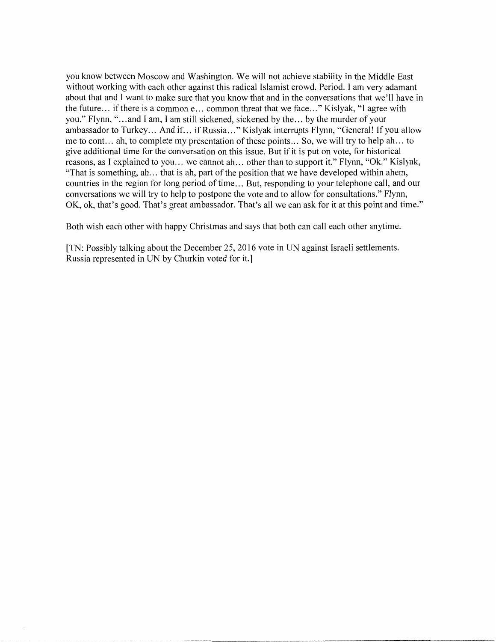you know between Moscow and Washington. We will not achieve stability in the Middle East without working with each other against this radical Islamist crowd. Period. I am very adamant about that and I want to make sure that you know that and in the conversations that we'll have in the future... if there is a common e... common threat that we face..." Kislyak, "I agree with you." Flynn," ... and I am, I am still sickened, sickened by the ... by the murder of your ambassador to Turkey... And if... if Russia..." Kislyak interrupts Flynn, "General! If you allow me to cont. .. ah, to complete my presentation of these points ... So, we will try to help ah ... to give additional time for the conversation on this issue. But if it is put on vote, for historical reasons, as I explained to you... we cannot ah... other than to support it." Flynn, "Ok." Kislyak, "That is something, ah... that is ah, part of the position that we have developed within ahem, countries in the region for long period of time... But, responding to your telephone call, and our conversations we will try to help to postpone the vote and to allow for consultations." Flynn, OK, ok, that's good. That's great ambassador. That's all we can ask for it at this point and time."

Both wish each other with happy Christmas and says that both can call each other anytime.

[TN: Possibly talking about the December 25, 2016 vote in UN against Israeli settlements. Russia represented in UN by Churkin voted for it.]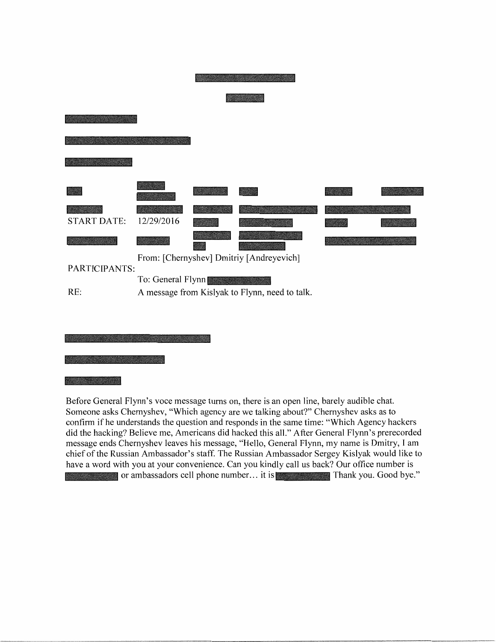| <b>START DATE:</b> | 12/29/2016        |                                                |  |
|--------------------|-------------------|------------------------------------------------|--|
|                    |                   | From: [Chernyshev] Dmitriy [Andreyevich]       |  |
| PARTICIPANTS:      | To: General Flynn |                                                |  |
| RE:                |                   | A message from Kislyak to Flynn, need to talk. |  |
|                    |                   |                                                |  |

Before General Flynn's voce message turns on, there is an open line, barely audible chat. Someone asks Chernyshev, "Which agency are we talking about?" Chernyshev asks as to confirm if he understands the question and responds in the same time: "Which Agency hackers did the hacking? Believe me, Americans did hacked this all." After General Flynn's prerecorded message ends Chernyshev leaves his message, "Hello, General Flynn, my name is Dmitry, I am chief of the Russian Ambassador's staff. The Russian Ambassador Sergey Kislyak would like to have a word with you at your convenience. Can you kindly call us back? Our office number is or ambassadors cell phone number ... it is Thank you. Good bye."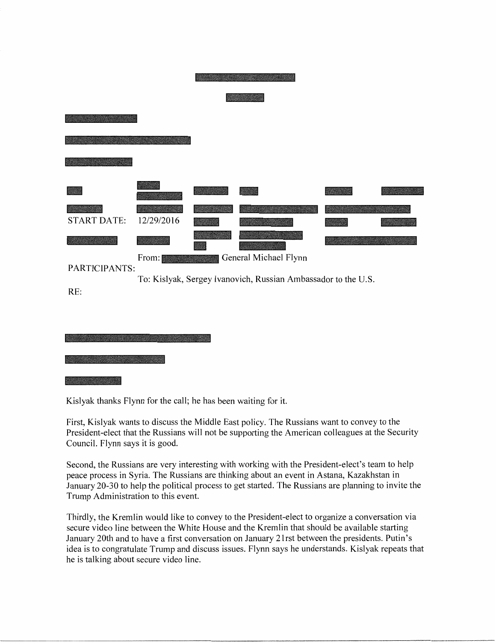| <b>START DATE:</b><br>12/29/2016<br>General Michael Flynn<br>From:<br>PARTICIPANTS:<br>To: Kislyak, Sergey Ivanovich, Russian Ambassador to the U.S.<br>RE: |
|-------------------------------------------------------------------------------------------------------------------------------------------------------------|

Kislyak thanks Flynn for the call; he has been waiting for it.

First, Kislyak wants to discuss the Middle East policy. The Russians want to convey to the President-elect that the Russians will not be supporting the American colleagues at the Security Council. Flynn says it is good.

Second, the Russians are very interesting with working with the President-elect's team to help peace process in Syria. The Russians are thinking about an event in Astana, Kazakhstan in January 20-30 to help the political process to get started. The Russians are planning to invite the Trump Administration to this event.

Thirdly, the Kremlin would like to convey to the President-elect to organize a conversation via secure video line between the White House and the Kremlin that should be available starting January 20th and to have a first conversation on January 21 rst between the presidents. Putin's idea is to congratulate Trump and discuss issues. Flynn says he understands. Kislyak repeats that he is talking about secure video line.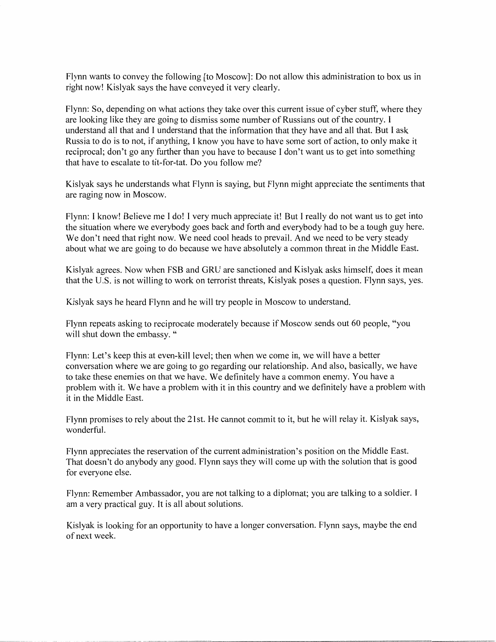Flynn wants to convey the following [to Moscow]: Do not allow this administration to box us in right now! Kislyak says the have conveyed it very clearly.

Flynn: So, depending on what actions they take over this current issue of cyber stuff, where they are looking like they are going to dismiss some number of Russians out of the country. I understand all that and I understand that the information that they have and all that. But I ask Russia to do is to not, if anything, I know you have to have some sort of action, to only make it reciprocal; don't go any further than you have to because I don't want us to get into something that have to escalate to tit-for-tat. Do you follow me?

Kislyak says he understands what Flynn is saying, but Flynn might appreciate the sentiments that are raging now in Moscow.

Flynn: I know! Believe me I do! I very much appreciate it! But I really do not want us to get into the situation where we everybody goes back and forth and everybody had to be a tough guy here. We don't need that right now. We need cool heads to prevail. And we need to be very steady about what we are going to do because we have absolutely a common threat in the Middle East.

Kislyak agrees. Now when FSB and GRU are sanctioned and Kislyak asks himself, does it mean that the U.S. is not willing to work on terrorist threats, Kislyak poses a question. Flynn says, yes.

Kislyak says he heard Flynn and he will try people in Moscow to understand.

Flynn repeats asking to reciprocate moderately because if Moscow sends out 60 people, "you will shut down the embassy. "

Flynn: Let's keep this at even-kill level; then when we come in, we will have a better conversation where we are going to go regarding our relationship. And also, basically, we have to take these enemies on that we have. We definitely have a common enemy. You have a problem with it. We have a problem with it in this country and we definitely have a problem with it in the Middle East.

Flynn promises to rely about the 21st. He cannot commit to it, but he will relay it. Kislyak says, wonderful.

Flynn appreciates the reservation of the current administration's position on the Middle East. That doesn't do anybody any good. Flynn says they will come up with the solution that is good for everyone else.

Flynn: Remember Ambassador, you are not talking to a diplomat; you are talking to a soldier. I am a very practical guy. It is all about solutions.

Kislyak is looking for an opportunity to have a longer conversation. Flynn says, maybe the end of next week.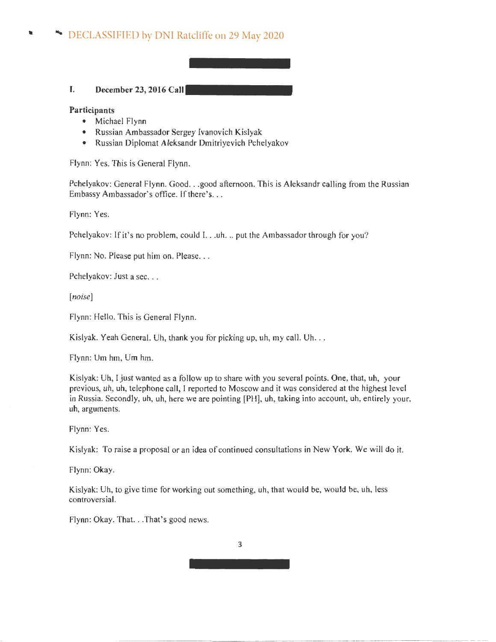# • DECLASSIFIED by DNI Ratcliffe on 29 May 2020

## I. **December 23, 2016 Call**

**Participants** 

- Michael Flynn
- Russian Ambassador Sergey lvanovich Kislyak
- Russian Diplomat Aleksandr Dmitriyevich Pchelyakov

Flynn: Yes. This is General Flynn.

Pchelyakov: General Flynn. Good. . .good afternoon. This is Aleksandr calling from the Russian Embassy Ambassador's office. If there's...

Flynn: Yes.

Pchelyakov: If it's no problem, could I. . .uh. .. put the Ambassador through for you?

Flynn: No. Please put him on. Please...

Pchelyakov: Just a sec...

[noise]

Flynn: Hello. This is General Flynn.

Kislyak. Yeah General. Uh, thank you for picking up, uh, my call. Uh...

Flynn: Um hm, Um hm.

Kislyak: Uh, I just wanted as a follow up to share with you several points. One, that, uh, your previous, uh, uh, telephone call, I reported to Moscow and it was considered at the highest level in Russia. Secondly, uh, uh, here we are pointing [PH], uh, taking into account, uh, entirely your, uh, arguments.

Flynn: Yes.

Kislyak: To raise a proposal or an idea of continued consultations in New York. We will do it.

Flynn: **Okay.** 

Kislyak: Uh, to give time for working out something, uh, that would be, would be, uh, less controversial.

Flynn: Okay. That. .. That's good news.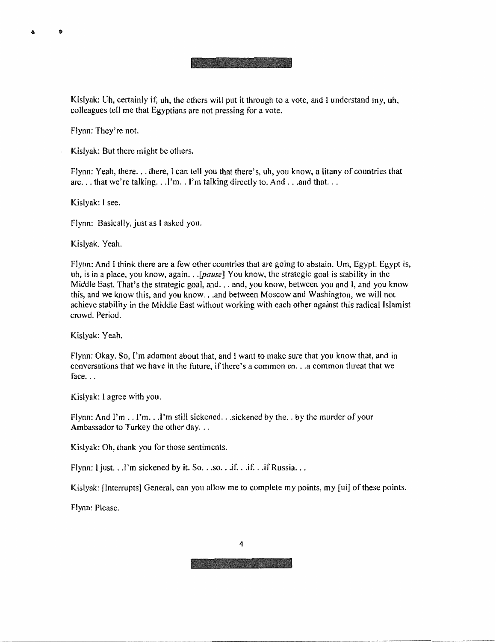Kislyak: Uh, certainly if, uh, the others will put it through to a vote, and I understand my, uh, colleagues tell me that Egyptians are not pressing for a vote.

Flynn: They're not.

Ð

Kislyak: But there might be others.

Flynn: Yeah, there ... there, l can tell you that there's, uh, you know, a litany of countries that are... that we're talking... I'm.. I'm talking directly to. And ... and that...

Kislyak: I see.

Flynn: Basically, just as I asked you.

Kislyak. Yeah.

Flynn: And I think there are a few other countries that are going to abstain. Um, Egypt. Egypt is, uh, is in a place, you know, again .. *. [pause]* You know, the strategic goal is stability in the Middle East. That's the strategic goal, and ... and, you know, between you and I, and you know this, and we know this, and you know. . .and between Moscow and Washington, we will not achieve stability in the Middle East without working with each other against this radical Islamist crowd. Period.

Kislyak: Yeah.

Flynn: Okay, So, I'm adamant about that, and I want to make sure that you know that, and in conversations that we have in the future, if there's a common en ... a common threat that we face. $\ldots$ 

Kislyak: I agree with you.

Flynn: And I'm .. I'm ... I'm still sickened ... sickened by the. , by the murder of your Ambassador to Turkey the other day...

Kislyak: Oh, thank you for those sentiments.

Flynn: I just. . .I'm sickened by it. So. . .so. . .if. . .if. . .if Russia. . .

Kislyak: [Interrupts] General, can you allow me to complete my points, my [ui] of these points.

Flynn: Please.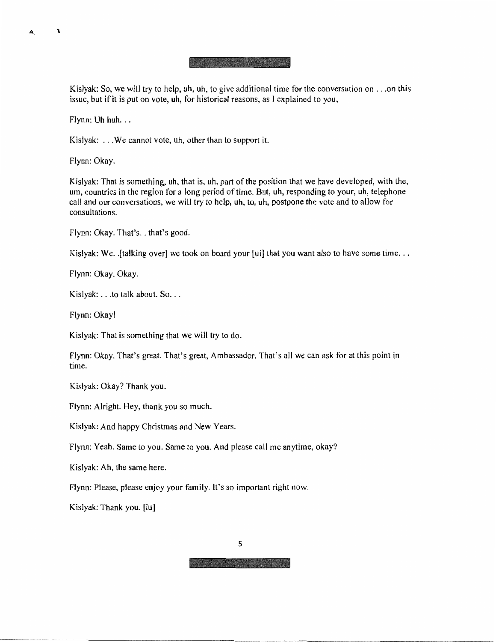#### <u>it is a local dealer and </u>

Kislyak: So, we will try to help, uh, uh, to give additional time for the conversation on ... on this issue, but if it is put on vote, **uh,** for historical reasons, as I explained to you,

 $Flynn: Uhhuh.$ ..

 $\mathbf{r}$ 

A

Kislyak: ... We cannot vote, uh, other than to support it.

Flynn: Okay.

Kislyak: That is something, uh, that is, uh, part of the position that we have developed, with the, um, countries in the region for a long period of time. But, uh, responding to your, uh, telephone call and our conversations, we will try to help, uh, to, uh, postpone the vote and to allow for consultations.

Flynn: Okay. That's. . that's good.

Kislyak: We. . [talking over] we took on board your [ui] that you want also to have some time...

Flynn: Okay. Okay.

Kislyak: . . . to talk about. So. . .

Flynn: Okay!

Kislyak: That is something that we will try to do.

Flynn: Okay. That's great. That's great, Ambassador. That's all we can ask for at this point in time.

Kislyak: Okay? Thank you.

Flynn: Alright. Hey, thank you so much.

Kislyak: And happy Christmas and New Years.

Flynn; Yeah, Same to you. Same to you. And please call me anytime, okay?

Kislyak: Ah, the same here.

Flynn: Please, please enjoy your family. It's so important right now.

Kislyak: Thank you. [iu]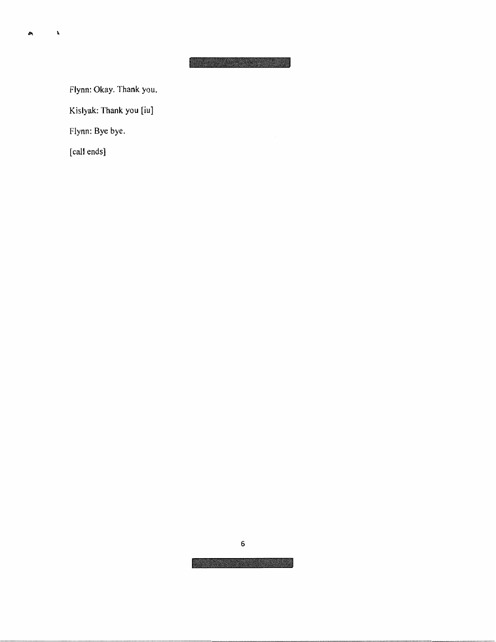Flynn: Okay. Thank you.

Kislyak: Thank you [iu]

Flynn: Bye bye.

[call ends]

 $\mathbf{t}$ 

Ą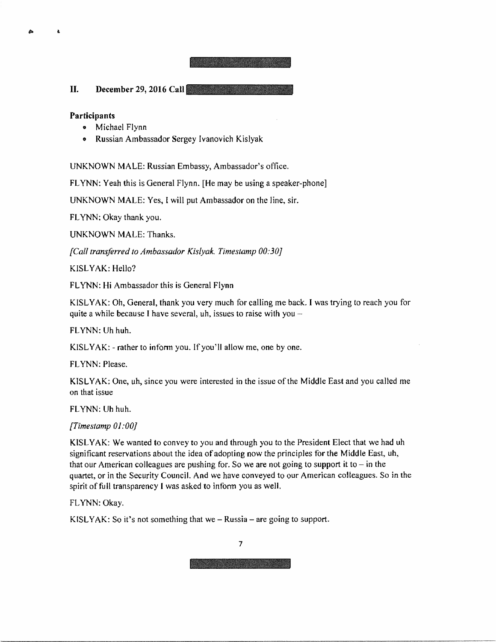II. **December 29, 2016 Call** 

## **Participants**

 $\pmb{\lambda}$ 

 $\triangle$ 

- Michael Flynn
- Russian Ambassador Sergey Ivanovich Kislyak

UNKNOWN MALE: Russian Embassy, Ambassador's office.

FLYNN: Yeah this is General Flynn. [He may be using a speaker-phone]

UNKNOWN MALE: Yes, I will put Ambassador on the line, sir.

FLYNN: Okay thank you.

UNKNOWN MALE: Thanks.

*[Call transferred to Ambassador Kislyak. Timestamp 00:30]* 

KISLYAK: Hello?

FLYNN: Hi Ambassador this is General Flynn

KISL YAK: Oh, General, thank you very much for calling me back. I was trying to reach you for quite a while because I have several, uh, issues to raise with you  $-$ 

FLYNN: Uh huh.

KISLYAK: - rather to infonn you. If you'll allow me, one by one.

FLYNN: Please.

KISL YAK: One, uh, since you were interested in the issue of the Middle East and you called me on that issue

FLYNN: Uh huh.

*[Times/amp OJ :00]* 

KISL YAK: We wanted to convey to you and through you to the President Elect that we had uh significant reservations about the idea of adopting now the principles for the Middle East,  $uh$ , that our American colleagues are pushing for. So we are not going to support it to  $-$  in the quartet, or in the Security Council. And we have conveyed to our American colleagues. So in the spirit of full transparency I was asked to inform you as well.

FLYNN: Okay.

KISLYAK: So it's not something that we  $-$  Russia  $-$  are going to support.

7

**The Communication**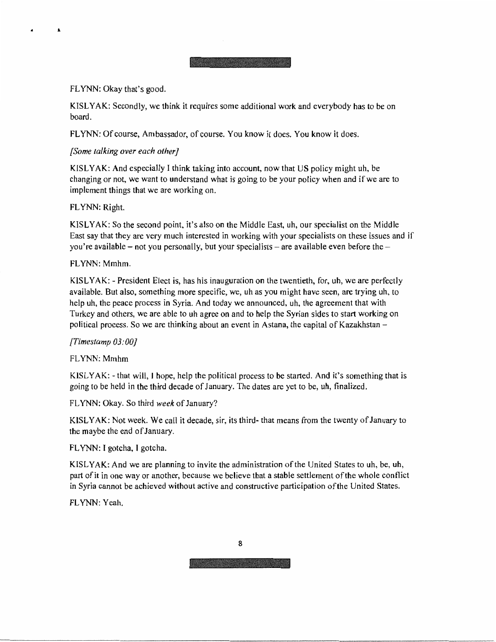## FLYNN: Okay that's good.

 $\pmb{\lambda}$ 

KISLYAK: Secondly, we think it requires some additional work and everybody has to be on board.

FLYNN: Of course, Ambassador, of course. You know it does. You know it does.

## *[Some talking over each other]*

KISL YAK: And especially I think taking into account, now that US policy might uh, be changing or not, we want to understand what is going to be your policy when and if we are to implement things that we are working on.

## FLYNN: Right.

 $KISLYAK$ : So the second point, it's also on the Middle East, uh, our specialist on the Middle East say that they are very much interested in working with your specialists on these issues and if you're available – not you personally, but your specialists – are available even before the  $-$ 

## FLYNN: Mmhm.

KISLYAK: - President Elect is, has his inauguration on the twentieth, for, uh, we are perfectly available. But also, something more specific, we, uh as you might have seen, are trying uh, to help uh, the peace process in Syria. And today we announced, uh, the agreement that with Turkey and others, we are able to uh agree on and to help the Syrian sides to start working on political process. So we are thinking about an event in Astana, the capital of Kazakhstan -

## *[fimestamp 03: 00* J

## FLYNN: Mmhm

KISLY AK: - that will, J hope, help the political process to be started. And it's something that is going to be held in the third decade of January. The dates are yet to be, uh, finalized.

FLYNN: Okay. So third *week* of January?

KISLY AK: Not week. We call it decade, sir, its third- that means from the twenty of January to the maybe the end of January.

FLYNN: I gotcha, I gotcha.

KISL YAK: And we are planning to invite the administration of the United States to uh, be, uh, part of it in one way or another, because we believe that a stable settlement of the whole conflict in Syria cannot be achieved without active and constructive participation of the United States.

FLYNN: Yeah.

8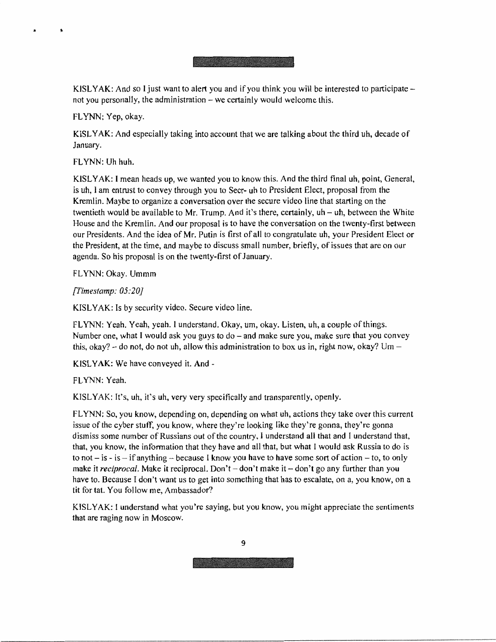#### and a standard contract of

KISLYAK: And so I just want to alert you and if you think you will be interested to participate not you personally, the administration – we certainly would welcome this.

FLYNN: Yep, okay.

 $\lambda$ 

KISL YAK: And especially taking into account that we are talking about the third uh, decade of January.

FLYNN: Uh huh.

KISLY AK: I mean heads up, we wanted you to know this. And the third final uh, point, General, is uh, I am entrust to convey through you to Seer- uh to President Elect, proposal from the Kremlin. Maybe to organize a conversation over the secure video line that starting on the twentieth would be available to Mr. Trump. And it's there, certainly, uh - uh, between the White House and the Kremlin. And our proposal is to have the conversation on the twenty.first between our Presidents. And the idea of Mr. Putin is first of all to congratulate uh, your President Elect or the President, at the time, and maybe to discuss small number, briefly, of issues that are on our agenda. So his proposal is on the twenty-first of January.

FLYNN: Okay. Ummm

*[Fimestamp: 05:20]* 

KISLYAK: Is by security video. Secure video line.

FLYNN: Yeah. Yeah, yeah. I understand. Okay, um, okay. Listen, uh, a couple of things. Number one, what I would ask you guys to do – and make sure you, make sure that you convey this, okay?  $-$  do not, do not uh, allow this administration to box us in, right now, okay? Um  $-$ 

KISLYAK: We have conveyed it. And -

FLYNN: Yeah.

KISLYAK: It's, uh, it's uh, very very specifically and transparently, openly.

FLYNN: So, you know, depending on, depending on what uh, actions they take over this current issue of the cyber stutf, you know, where they're looking like they're gonna, they're gonna dismiss some number of Russians out of the country, I understand all that and I understand that, that, you know, the information that they have and all that, but what I would ask Russia to do is to not  $-$  is  $-$  if anything  $-$  because I know you have to have some sort of action  $-$  to, to only make it *reciprocal.* Make it reciprocal. Don't - don't make it - don't go any further than you have to. Because I don't want us to get into something that has to escalate, on a, you know, on a tit for tat. You follow me, Ambassador?

KISLYAK: I understand what you're saying, but you know, you might appreciate the sentiments that are raging now in Moscow.

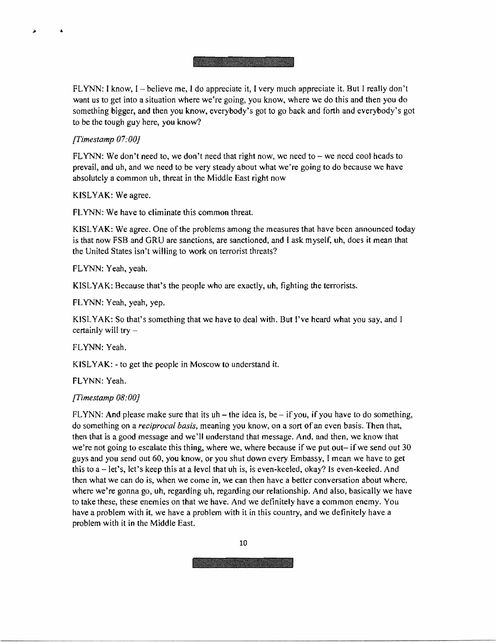FLYNN: I know, I - believe me, I do appreciate it, I very much appreciate it. But I really don't want us to get into a situation where we're going, you know, where we do this and then you do something bigger, and then you know, everybody's got to go back and forth and everybody's got to be the tough guy here, you know?

*fI'imestamp 07:00]* 

 $\Delta$ 

 $\overline{\phantom{a}}$ 

FLYNN: We don't need to, we don't need that right now, we need to  $-$  we need cool heads to prevail, and uh, and we need to be very steady about what we're going to do because we have absolutely a common uh. threat in the Middle East right now

KISLYAK: We agree.

FLYNN: We have to eliminate this common threat.

KISL YAK: We agree. One of the problems among the measures that have been announced today is that now FSB and GRU are sanctions, are sanctioned, and I ask myself, uh, does it mean that the United States isn't willing to work on terrorist threats?

FLYNN: Yeah, yeah.

KISL YAK: Because that's the people who are exactly, uh, fighting the terrorists.

FLYNN: Yeah, yeah, yep.

KISLYAK: So that's something that we have to deal with. But I've heard what you say, and I certainly will try  $-$ 

FL YNN: Yeah.

KISLYAK: - to get the people in Moscow to understand it.

FLYNN: Yeah.

## *fI'imestamp 08:00]*

FLYNN: And please make sure that its  $uh$  – the idea is, be – if you, if you have to do something, do something on a *reciprocal basis,* meaning you know, on a sort of an even basis. Then that, then that is a good message and we'll understand that message. And, and then, we know that we're not going to escalate this thing, where we, where because if we put out- if we send out 30 guys and you send out 60, you know, or you shut down every Embassy, I mean we have to get this to  $a - \text{let's}, \text{ let's keep this at a level that uh is, is even-keeled, okay? Is even-keeled. And$ then what we can do is, when we come in, we can then have a better conversation about where, where we're gonna go, uh, regarding uh, regarding our relationship. And also, basically we have to take these, these enemies on that we have. And we definitely have a common enemy. You have a problem with it, we have a problem with it in this country, and we definitely have a problem with it in the Middle East.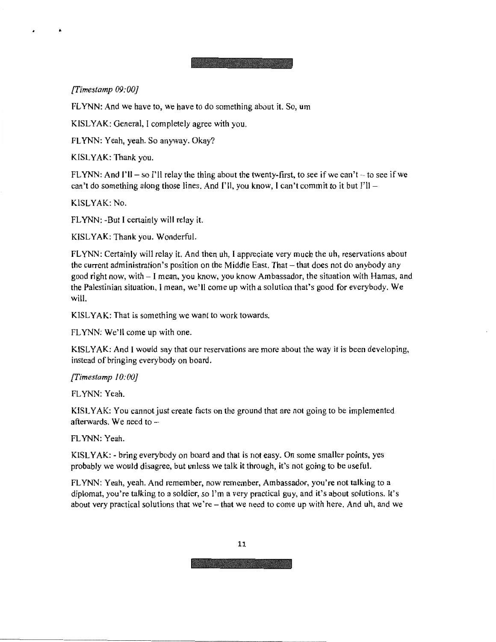**AND AND RESIDENCE** 

*[Times/amp 09:00]* 

FLYNN: And we have to, we have to do something about it. So, um

KISL YAK: General, I completely agree with you.

FLYNN: Yeah, yeah. So anyway. Okay?

KfSL YAK: Thank you.

FLYNN: And I'll – so I'll relay the thing about the twenty-first, to see if we can't – to see if we can't do something along those lines. And  $\Gamma$  il, you know, I can't commit to it but  $\Gamma$  ll -

KlSLY AK: No.

FLYNN: -But I certainly will relay it.

KISLYAK: Thank you. Wonderful.

FLYNN: Certainly will relay it. And then uh, I appreciate very much the uh, reservations about the current administration's position on the Middle East. That – that does not do anybody any good right now, with - I mean, you know, you know Ambassador, the situation with Hamas, and the Palestinian situation, I mean, we' 11 come up with a solution that's good for everybody. We will.

KISLYAK: That is something we want to work towards.

FLYNN: We'll come up with one.

KISL YAK: And I would say that our reservations are more about the way it is been developing, instead of bringing everybody on board.

*[Timestamp /0:00]* 

FLYNN: Yeah.

KISL YAK: You cannot just create facts on the ground that are not going to be implemented afterwards. We need to  $-$ 

FLYNN: Yeah.

KISL YAK: - bring everybody on board and that is not easy. On some smaller points, yes probably we would disagree, but unless we talk it through, it's not going to be useful.

FLYNN: Yeah, yeah. And remember, now remember, Ambassador, you're not talking to a diplomat, you're talking to a soldier, so l'm a very practical guy, and it's about solutions. It's about very practical solutions that we're - that we need to come up with here. And uh, and we

11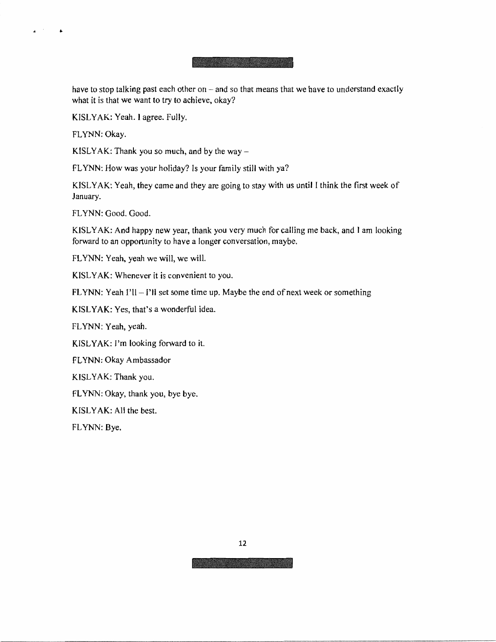**A PARTICULAR AND STATE** 

have to stop talking past each other on  $-$  and so that means that we have to understand exactly what it is that we want to try to achieve, okay?

KISLYAK: Yeah. I agree. Fully.

FLYNN: Okay.

 $\mathbf{z}^{(i)}$  and

 $\bullet$ 

KISLYAK: Thank you so much, and by the way  $-$ 

FLYNN: How was your holiday? Is your family still with ya?

KJSL YAK: Yeah, they came and they are going to stay with us until I think the first week of January.

FLYNN: Good. Good.

KISLY AK: And happy new year, thank you very much for calling me back, and I am looking forward to an opportunity to have a longer conversation, maybe.

FLYNN: Yeah, yeah we will, we will.

KISLYAK: Whenever it is convenient to you.

FLYNN: Yeah  $I'll - I'll$  set some time up. Maybe the end of next week or something

KISL YAK: Yes, that's a wonderful idea.

FLYNN: Yeah, yeah.

KISLYAK: I'm looking forward to it.

FLYNN: Okay Ambassador

KISLYAK: Thank you.

FLYNN: Okay, thank you, bye bye.

KISLYAK: All the best.

FLYNN: Bye.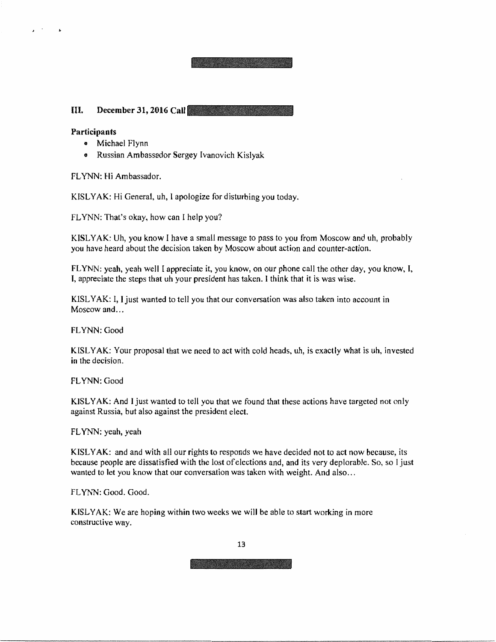## III. **December 31, 2016 Call**

## **Participants**

...

 $\mathbf{r}$ 

- Michael Flynn
- Russian Ambassador Sergey [vanovich Kislyak

FLYNN: Hi Ambassador.

KISLYAK: Hi General, uh, I apologize for disturbing you today.

FLYNN: That's okay, how can I help you?

KISL YAK: Uh, you know I have a small message to pass to you from Moscow and uh, probably you have heard about the decision taken by Moscow about action and counter-action.

ARE A MONEY MANAGE

FLYNN: yeah, yeah well I appreciate it, you know, on our phone call the other day, you know, I, I, appreciate the steps that uh your president has taken. I think that it is was wise.

KISL YAK: I, I just wanted to tell you that our conversation was also taken into account in Moscow and...

FLYNN: Good

KISLYAK: Your proposal that we need to act with cold heads, uh, is exactly what is uh, invested **in** the decision.

FLYNN: Good

KISLYAK: And I just wanted to tell you that we found that these actions have targeted not only against Russia, but also against the president elect.

FLYNN: yeah, yeah

KISL YAK: and and with all our rights to responds we have decided not to act now because, its because people are dissatisfied with the lost of elections and, and its very deplorable. So, so I just wanted to let you know that our conversation was taken with weight. And also...

FLYNN: Good. Good.

KISLYAK: We are hoping within two weeks we will be able to start working in more constructive way.

13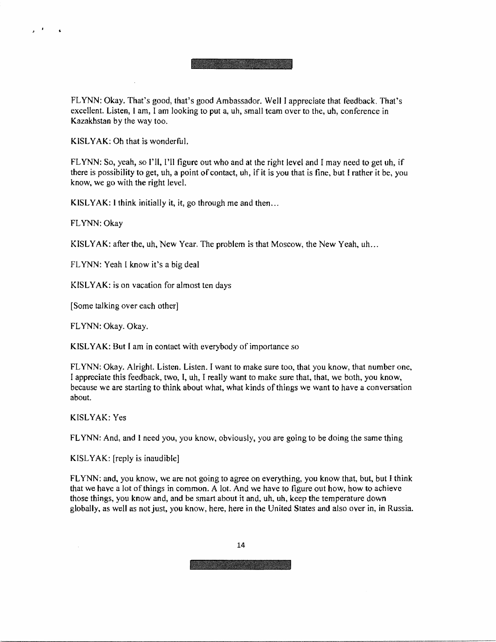FLYNN: Okay. That's good, that's good Ambassador. Well I appreciate that feedback. That's excellent. Listen, 1 am, I am looking to put a, uh, small team over to the, uh, conference in Kazakhstan by the way too.

KISLYAK: Oh that is wonderful.

FLYNN: So, yeah, so I'll, I'll figure out who and at the right level and I may need to get uh, if there is possibility to get, uh, a point of contact, uh, if it is you that is fine, but I rather it be, you know, we go with the right level.

KISLYAK: I think initially it, it, go through me and then...

FLYNN: Okay

f,

المعالى

KISLYAK: after the, uh, New Year. The problem is that Moscow, the New Yeah, uh ...

FLYNN: Yeah I know it's a big deal

KISLYAK: is on vacation for almost ten days

[Some talking over each other]

FLYNN: Okay. Okay.

**KISL YAK:** But I am in contact with everybody of importance so

FLYNN: Okay. Alright. Listen. Listen. I want to make sure too, that you know, that number one, I appreciate this feedback, two, I, uh, I really want to make sure that, that, we both, you know, because we are starting to think about what, what kinds of things we want to have a conversation about.

KISLYAK: Yes

FLYNN: And, and I need you, you know, obviously, you are going to be doing the same thing

KISL YAK: [reply is inaudible]

FLYNN: and, you know, we are not going to agree on everything, you know that, but, but I think that we have a lot of things in common. A lot. And we have to figure out how, how to achieve those things, you know and, and be smart about it and, uh, uh, keep the temperature down globally, as well as notjust, you know, here, here in the United States and also over in, in Russia.

14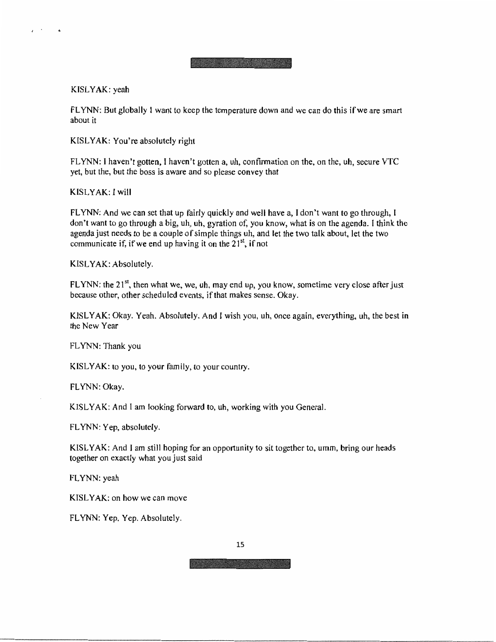## KISL **YAK:** yeah

 $\epsilon$  . The set

FLYNN: But globally l want to keep the temperature down and we can do this ifwe are smart about it

**KISL YAK:** You're absolutely right

FLYNN: I haven't gotten, I haven't gotten a, uh, confirmation on the, on the, uh, secure VTC yet, but the, but the boss is aware and so please convey that

KISL **YAK:** I will

FLYNN: And we can set that up fairly quickly and well have a, I don't want to go through, I don't want to go through a big, uh, uh, gyration of, you know, what is on the agenda. I think the agenda just needs to be a couple of simple things uh, and let the two talk about, let the two communicate if, if we end up having it on the  $21<sup>st</sup>$ , if not

KISL YAK: Absolutely,

FLYNN: the  $21^{st}$ , then what we, we, uh, may end up, you know, sometime very close after just because other, other scheduled events, if that makes sense. Okay.

KISLYAK: Okay. Yeah. Absolutely. And I wish you, uh, once again, everything, uh, the best in the New Year

FLYNN: Thank you

KISLYAK: to you, to your family, to your country.

FLYNN: Okay.

KISL YAK: And I am looking forward to, uh, working with you General.

FLYNN: Yep, absolutely.

KISLYAK: And I am still hoping for an opportunity to sit together to, umm, bring our heads together on exactly what you just said

FLYNN: yeah

KISL YAK: on how we can move

FLYNN: Yep. Yep. Absolutely.

15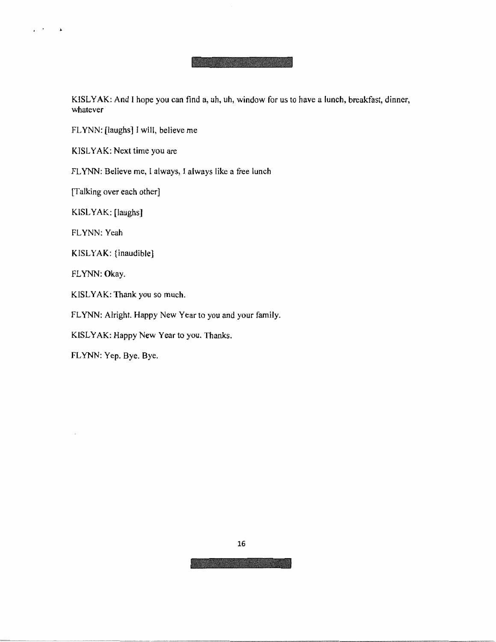KISL **YAK:** And I hope you can find a, uh, uh, window for us to have a lunch, breakfast, dinner, whatever

FLYNN: [laughs] I will, believe me

KISLYAK: Next time you are

FLYNN: Believe me, I always, I always like a free lunch

[Talking over each other]

KISLYAK: [laughs]

FLYNN: Yeah

 $\overline{a}$  ,  $\overline{a}$ 

KISLYAK: {inaudible}

FLYNN: Okay.

KISLYAK: Thank you so much.

FLYNN: Alright. Happy New Year to you and your family.

KISLYAK: Happy New Year to you. Thanks.

FLYNN: Yep. Bye. Bye.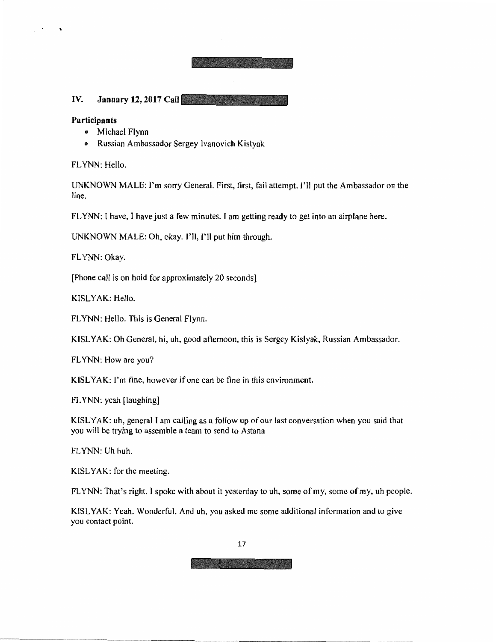## IV. January 12, 2017 Call

### **Participants**

 $\mathbb{R}^{n \times n}$ 

 $\blacktriangle$ 

- Michael Flynn
- Russian Ambassador Sergey Ivanovich Kislyak

FLYNN: Hello.

UNKNOWN MALE: I'm sorry General. First, first, fail attempt. I'll put the Ambassador on the line.

FLYNN: I have, I have just a few minutes. I am getting ready to get into an airplane here.

UNKNOWN MALE: Oh, okay. I'll, I'll put him through.

FLYNN: Okay.

[Phone call is on hold for approximately 20 seconds]

KISLYAK: Hello.

FLYNN: Hello. This is General Flynn.

KISLY AK: Oh General, hi, uh, good afternoon, this is Sergey Kislyak, Russian Ambassador.

FLYNN: How are you?

KISL YAK: I'm fine, however if one can be fine in this environment.

FLYNN: yeah [laughing]

KISL YAK: uh, general I am calling as a follow up of our last conversation when you said that you will be trying to assemble a team to send to Astana

FLYNN: Uh huh.

KISL **YAK:** for the meeting.

FLYNN: That's right. I spoke with about it yesterday to uh, some of my, some of my, uh people.

KISL **YAK:** Yeah. Wonderful. And uh, you asked me some additiona] information and to give you contact point.

17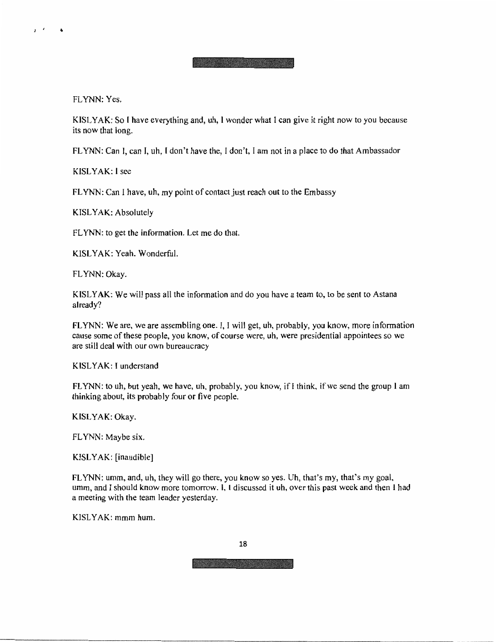FLYNN: Yes.

J *I* •

KJSLYAK: Sol have everything and, uh, I wonder what I can give it right now to you because its now that long.

FLYNN: Can I, can I, uh, I don't have the, I don't, I am not in a place to do that Ambassador

KISL YAK: I see

FLYNN: Can I have, uh, my point of contact just reach out to the Embassy

KISL YAK: Absolutely

FLYNN: to get the information. Let me do that.

KISLYAK: Yeah. Wonderful.

FLYNN: Okay.

KISLYAK: We will pass all the information and do you have a team to, to be sent to Astana already?

FLYNN: We are, we are assembling one. I, I will get, uh, probably, you know, more information cause some of these people, you know, of course were, uh, were presidential appointees so we are still deal with our own bureaucracy

KISLYAK: I understand

FLYNN: to uh, but yeah, we have, uh, probably, you know, if I think, if we send the group  $I$  am thinking about, its probably four or five people.

**KISL YAK:** Okay.

FLYNN: Maybe six.

**KISL** YAK: [inaudible]

FLYNN: umm, and, uh, they will go there, you know so yes. Uh, that's my, that's my goal. umm, and I should know more tomorrow. I. l discussed it uh, over this past week and then l had a meeting with the team leader yesterday.

KISL YAK: mmm hum.

18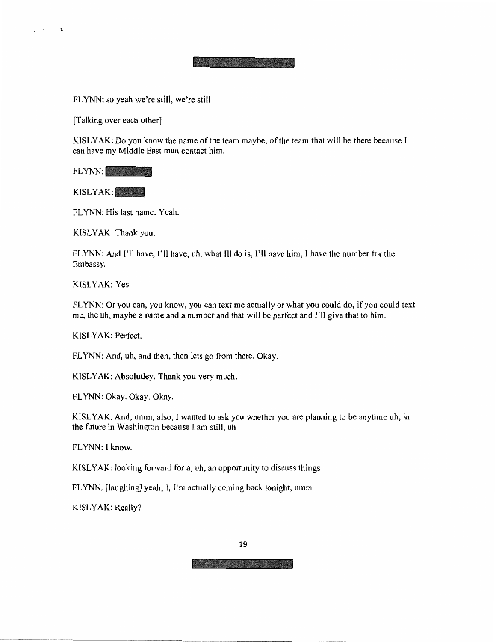FLYNN: so yeah we're still, we're still

[Talking over each other]

 $2 - 1 - 3$ 

KJSLYAK: Do you know the name of the team maybe, of the team that will be there because I can have my Middle East man contact him.

FLYNN:

KISLYAK:

FLYNN: His last name. Yeah.

KISLYAK: Thank you.

FLYNN: And I'll have, I'll have, uh, what III do is, I'll have him, I have the number for the Embassy.

KISL YAK: Yes

FLYNN: Or you can, you know, you can text me actually or what you could do, if you could text me, the uh, maybe a name and a number and that will be perfect and I'll give that to him.

KISLYAK: Perfect.

FLYNN: And, uh, and then, then lets go from there. Okay.

KISLY AK: Absolutley. Thank you very much.

FLYNN: Okay. Okay. Okay.

KISLYAK: And, umm, also, I wanted to ask you whether you are planning to be anytime uh, in the future in Washington because I am still, uh

FLYNN: I know.

KISLY AK: looking forward for a, uh, an opportunity to discuss things

FLYNN: [laughing] yeah, I, I'm actually coming back tonight, umm

KISL **YAK:** Really?

19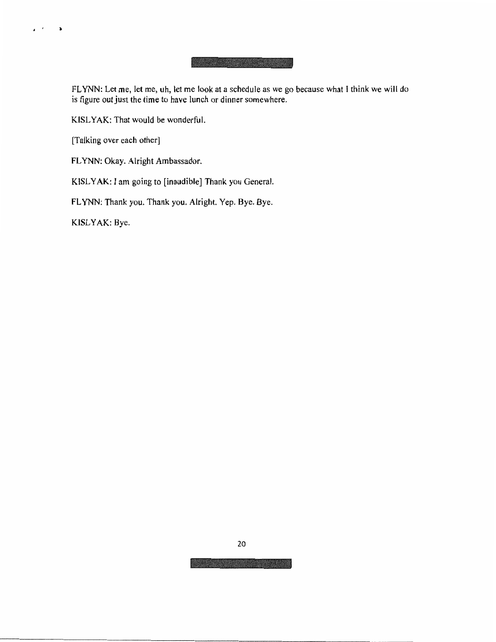FLYNN: Let me, let me, uh, let me look at a schedule as we go because what I think we will do is figure out just the time to have lunch or dinner somewhere.

KISL YAK: That would be wonderful.

[Talking over each other]

 $\mathbf{r} \in \mathcal{F}$ 

 $\mathbf{p}$ 

FLYNN: Okay. Alright Ambassador.

KISLYAK: I am going to [inaudible] Thank you General.

FLYNN: Thank you. Thank you. Alright. Yep. Bye. Bye.

KISLYAK: Bye.

20